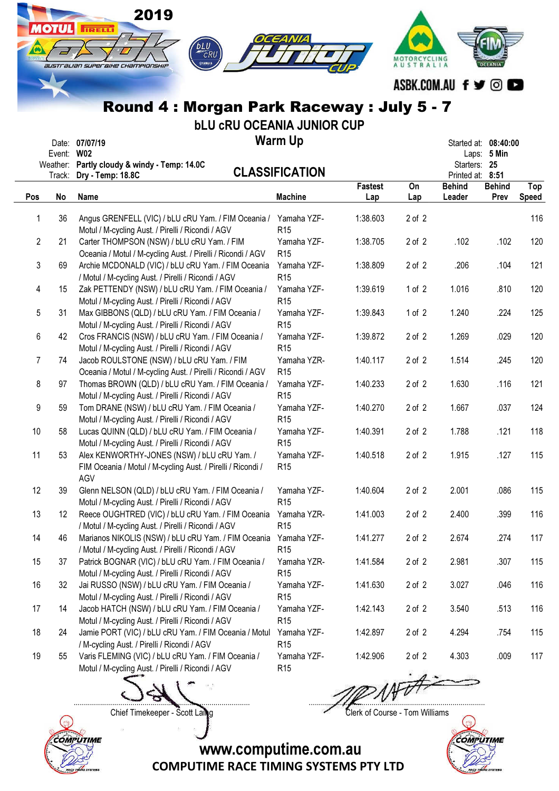|                | <b>OTUL</b>                      | 2019<br><b>IRELLI</b><br>bLU CRU<br>⊜үлмана<br>australian superaixe championskip                                                                                         | OCEANIA                                           |                       | <b>AUSTRALIA</b> |                                                          |                       |                     |
|----------------|----------------------------------|--------------------------------------------------------------------------------------------------------------------------------------------------------------------------|---------------------------------------------------|-----------------------|------------------|----------------------------------------------------------|-----------------------|---------------------|
|                |                                  |                                                                                                                                                                          |                                                   |                       |                  | ASBK.COM.AU f y © O                                      |                       |                     |
|                |                                  | Round 4: Morgan Park Raceway: July 5 - 7                                                                                                                                 |                                                   |                       |                  |                                                          |                       |                     |
|                | Event: W02<br>Weather:<br>Track: | <b>bLU CRU OCEANIA JUNIOR CUP</b><br>Date: 07/07/19<br>Partly cloudy & windy - Temp: 14.0C<br>Dry - Temp: 18.8C                                                          | <b>Warm Up</b><br><b>CLASSIFICATION</b>           |                       |                  | Started at: 08:40:00<br>Starters: 25<br>Printed at: 8:51 | Laps: 5 Min           |                     |
| Pos            | No                               | Name                                                                                                                                                                     | <b>Machine</b>                                    | <b>Fastest</b><br>Lap | On<br>Lap        | <b>Behind</b><br>Leader                                  | <b>Behind</b><br>Prev | Top<br><b>Speed</b> |
| 1              | 36                               | Angus GRENFELL (VIC) / bLU cRU Yam. / FIM Oceania /                                                                                                                      | Yamaha YZF-                                       | 1:38.603              | $2$ of $2$       |                                                          |                       | 116                 |
| $\overline{2}$ | 21                               | Motul / M-cycling Aust. / Pirelli / Ricondi / AGV<br>Carter THOMPSON (NSW) / bLU cRU Yam. / FIM                                                                          | R <sub>15</sub><br>Yamaha YZF-<br>R <sub>15</sub> | 1:38.705              | $2$ of $2$       | .102                                                     | .102                  | 120                 |
| 3              | 69                               | Oceania / Motul / M-cycling Aust. / Pirelli / Ricondi / AGV<br>Archie MCDONALD (VIC) / bLU cRU Yam. / FIM Oceania<br>/ Motul / M-cycling Aust. / Pirelli / Ricondi / AGV | Yamaha YZF-<br>R <sub>15</sub>                    | 1:38.809              | $2$ of $2$       | .206                                                     | .104                  | 121                 |
| 4              | 15                               | Zak PETTENDY (NSW) / bLU cRU Yam. / FIM Oceania /<br>Motul / M-cycling Aust. / Pirelli / Ricondi / AGV                                                                   | Yamaha YZF-<br>R <sub>15</sub>                    | 1:39.619              | 1 of $2$         | 1.016                                                    | .810                  | 120                 |
| 5              | 31                               | Max GIBBONS (QLD) / bLU cRU Yam. / FIM Oceania /<br>Motul / M-cycling Aust. / Pirelli / Ricondi / AGV                                                                    | Yamaha YZF-<br>R <sub>15</sub>                    | 1:39.843              | 1 of 2           | 1.240                                                    | .224                  | 125                 |
| 6              | 42                               | Cros FRANCIS (NSW) / bLU cRU Yam. / FIM Oceania /<br>Motul / M-cycling Aust. / Pirelli / Ricondi / AGV                                                                   | Yamaha YZF-<br>R <sub>15</sub>                    | 1:39.872              | $2$ of $2$       | 1.269                                                    | .029                  | 120                 |
| 7              | 74                               | Jacob ROULSTONE (NSW) / bLU cRU Yam. / FIM<br>Oceania / Motul / M-cycling Aust. / Pirelli / Ricondi / AGV                                                                | Yamaha YZR-<br>R <sub>15</sub>                    | 1:40.117              | $2$ of $2$       | 1.514                                                    | .245                  | 120                 |
| 8              | 97                               | Thomas BROWN (QLD) / bLU cRU Yam. / FIM Oceania /<br>Motul / M-cycling Aust. / Pirelli / Ricondi / AGV                                                                   | Yamaha YZF-<br>R <sub>15</sub>                    | 1:40.233              | $2$ of $2$       | 1.630                                                    | .116                  | 121                 |
| 9              | 59                               | Tom DRANE (NSW) / bLU cRU Yam. / FIM Oceania /<br>Motul / M-cycling Aust. / Pirelli / Ricondi / AGV                                                                      | Yamaha YZF-<br>R <sub>15</sub>                    | 1:40.270              | $2$ of $2$       | 1.667                                                    | .037                  | 124                 |
| 10             | 58                               | Lucas QUINN (QLD) / bLU cRU Yam. / FIM Oceania /<br>Motul / M-cycling Aust. / Pirelli / Ricondi / AGV                                                                    | Yamaha YZF-<br>R <sub>15</sub>                    | 1:40.391              | $2$ of $2$       | 1.788                                                    | .121                  | 118                 |
| 11             | 53                               | Alex KENWORTHY-JONES (NSW) / bLU cRU Yam. /<br>FIM Oceania / Motul / M-cycling Aust. / Pirelli / Ricondi /<br>AGV                                                        | Yamaha YZF-<br>R <sub>15</sub>                    | 1:40.518              | 2 of 2           | 1.915                                                    | .127                  | 115                 |
| 12             | 39                               | Glenn NELSON (QLD) / bLU cRU Yam. / FIM Oceania /<br>Motul / M-cycling Aust. / Pirelli / Ricondi / AGV                                                                   | Yamaha YZF-<br>R <sub>15</sub>                    | 1:40.604              | 2 of 2           | 2.001                                                    | .086                  | 115                 |
| 13             | 12                               | Reece OUGHTRED (VIC) / bLU cRU Yam. / FIM Oceania<br>/ Motul / M-cycling Aust. / Pirelli / Ricondi / AGV                                                                 | Yamaha YZR-<br>R <sub>15</sub>                    | 1:41.003              | 2 of 2           | 2.400                                                    | .399                  | 116                 |
| 14             | 46                               | Marianos NIKOLIS (NSW) / bLU cRU Yam. / FIM Oceania<br>/ Motul / M-cycling Aust. / Pirelli / Ricondi / AGV                                                               | Yamaha YZF-<br>R <sub>15</sub>                    | 1:41.277              | 2 of 2           | 2.674                                                    | .274                  | 117                 |
| 15             | 37                               | Patrick BOGNAR (VIC) / bLU cRU Yam. / FIM Oceania /<br>Motul / M-cycling Aust. / Pirelli / Ricondi / AGV                                                                 | Yamaha YZR-<br>R <sub>15</sub>                    | 1:41.584              | 2 of 2           | 2.981                                                    | .307                  | 115                 |
| 16             | 32                               | Jai RUSSO (NSW) / bLU cRU Yam. / FIM Oceania /<br>Motul / M-cycling Aust. / Pirelli / Ricondi / AGV                                                                      | Yamaha YZF-<br>R <sub>15</sub>                    | 1:41.630              | 2 of 2           | 3.027                                                    | .046                  | 116                 |
| 17             | 14                               | Jacob HATCH (NSW) / bLU cRU Yam. / FIM Oceania /<br>Motul / M-cycling Aust. / Pirelli / Ricondi / AGV                                                                    | Yamaha YZF-<br>R <sub>15</sub>                    | 1:42.143              | 2 of 2           | 3.540                                                    | .513                  | 116                 |
| 18             | 24                               | Jamie PORT (VIC) / bLU cRU Yam. / FIM Oceania / Motul<br>/ M-cycling Aust. / Pirelli / Ricondi / AGV                                                                     | Yamaha YZF-<br>R <sub>15</sub>                    | 1:42.897              | 2 of 2           | 4.294                                                    | .754                  | 115                 |
| 19             | 55                               | Varis FLEMING (VIC) / bLU cRU Yam. / FIM Oceania /<br>Motul / M-cycling Aust. / Pirelli / Ricondi / AGV                                                                  | Yamaha YZF-<br>R <sub>15</sub>                    | 1:42.906              | $2$ of $2$       | 4.303                                                    | .009                  | 117                 |
|                |                                  |                                                                                                                                                                          |                                                   |                       |                  |                                                          |                       |                     |



Chief Timekeeper - Scott Laing Clerk of Course - Tom Williams



www.computime.com.au

COMPUTIME RACE TIMING SYSTEMS PTY LTD

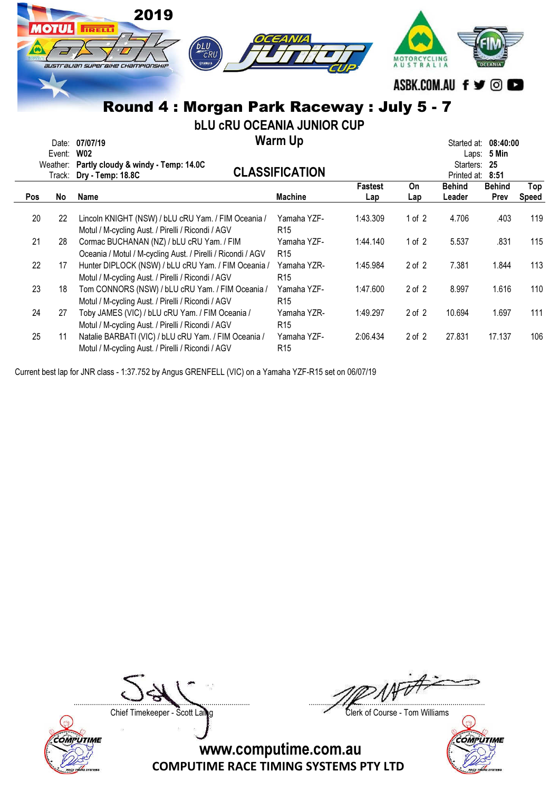|     | <b>OTUL</b>  | 2019<br><b>TETELLI</b><br><b>DLU</b><br>⊜удмана<br>australian superaixe championskip                     | OCEANIA                                 |                       | MOTORCYCLING<br>AUSTRALIA | ASBK.COM.AU f y © O                         |                       |              |
|-----|--------------|----------------------------------------------------------------------------------------------------------|-----------------------------------------|-----------------------|---------------------------|---------------------------------------------|-----------------------|--------------|
|     |              | Round 4: Morgan Park Raceway: July 5 - 7                                                                 |                                         |                       |                           |                                             |                       |              |
|     |              | <b>bLU CRU OCEANIA JUNIOR CUP</b>                                                                        |                                         |                       |                           |                                             |                       |              |
|     | Event:       | Date: 07/07/19<br><b>W02</b><br>Weather: Partly cloudy & windy - Temp: 14.0C                             | <b>Warm Up</b><br><b>CLASSIFICATION</b> |                       |                           | Started at: 08:40:00<br>Starters:           | Laps: 5 Min<br>- 25   |              |
| Pos | Track:<br>No | Dry - Temp: 18.8C<br>Name                                                                                | <b>Machine</b>                          | <b>Fastest</b><br>Lap | On<br>Lap                 | Printed at: 8:51<br><b>Behind</b><br>Leader | <b>Behind</b><br>Prev | Top<br>Speed |
| 20  | 22           | Lincoln KNIGHT (NSW) / bLU cRU Yam. / FIM Oceania /<br>Motul / M-cycling Aust. / Pirelli / Ricondi / AGV | Yamaha YZF-<br>R <sub>15</sub>          | 1:43.309              | 1 of $2$                  | 4.706                                       | .403                  | 119          |
| 21  | 28           | Cormac BUCHANAN (NZ) / bLU cRU Yam. / FIM<br>Oceania / Motul / M-cycling Aust. / Pirelli / Ricondi / AGV | Yamaha YZF-<br>R <sub>15</sub>          | 1:44.140              | 1 of $2$                  | 5.537                                       | .831                  | 115          |
| 22  | 17           | Hunter DIPLOCK (NSW) / bLU cRU Yam. / FIM Oceania /<br>Motul / M-cycling Aust. / Pirelli / Ricondi / AGV | Yamaha YZR-<br>R <sub>15</sub>          | 1:45.984              | $2$ of $2$                | 7.381                                       | 1.844                 | 113          |
| 23  | 18           | Tom CONNORS (NSW) / bLU cRU Yam. / FIM Oceania /<br>Motul / M-cycling Aust. / Pirelli / Ricondi / AGV    | Yamaha YZF-<br>R <sub>15</sub>          | 1:47.600              | $2$ of $2$                | 8.997                                       | 1.616                 | 110          |
| 24  | 27           | Toby JAMES (VIC) / bLU cRU Yam. / FIM Oceania /<br>Motul / M-cycling Aust. / Pirelli / Ricondi / AGV     | Yamaha YZR-<br>R <sub>15</sub>          | 1:49.297              | $2$ of $2$                | 10.694                                      | 1.697                 | 111          |
| 25  | 11           | Natalie BARBATI (VIC) / bLU cRU Yam. / FIM Oceania /                                                     | Yamaha YZF-                             | 2:06.434              | $2$ of $2$                | 27.831                                      | 17.137                | 106          |

R15

Current best lap for JNR class - 1:37.752 by Angus GRENFELL (VIC) on a Yamaha YZF-R15 set on 06/07/19

Motul / M-cycling Aust. / Pirelli / Ricondi / AGV

Chief Timekeeper - Scott Laing Clerk of Course - Tom Williams



....................................................................................... .......................................................................................

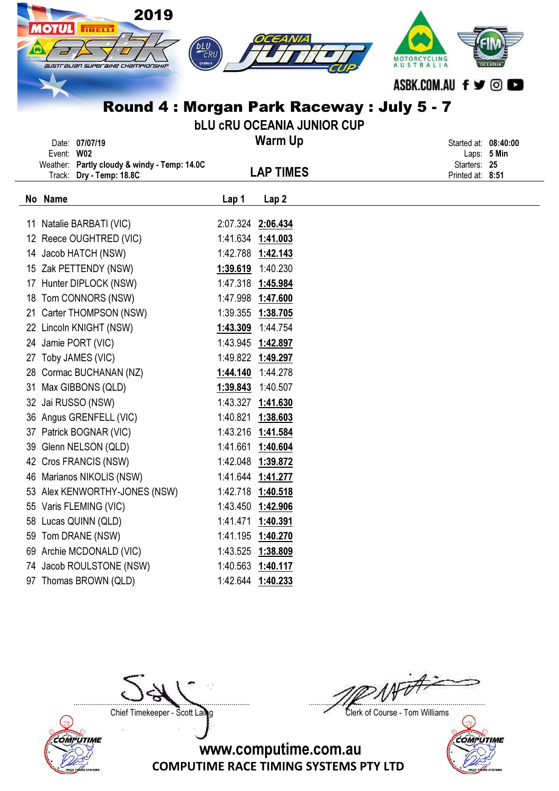|    | 2019<br><b>IOTUL</b><br><b>IRELLI</b><br>australian superaixe championship | <b>bLU</b><br>⊜улман | EANIZ<br>Round 4 : Morgan Park Raceway : July 5 - 7<br><b>bLU CRU OCEANIA JUNIOR CUP</b> | MOTORCYCLING<br>AUSTRALIA<br>ASBK.COM.AU f <b>y</b> © <b>co</b> |
|----|----------------------------------------------------------------------------|----------------------|------------------------------------------------------------------------------------------|-----------------------------------------------------------------|
|    | Date: 07/07/19                                                             |                      | <b>Warm Up</b>                                                                           | Started at: 08:40:00                                            |
|    | Event: W02<br>Weather: Partly cloudy & windy - Temp: 14.0C                 |                      |                                                                                          | Laps: 5 Min<br>Starters: 25                                     |
|    | Track: Dry - Temp: 18.8C                                                   |                      | <b>LAP TIMES</b>                                                                         | Printed at: 8:51                                                |
|    | No Name                                                                    |                      |                                                                                          |                                                                 |
|    |                                                                            | Lap 1                | Lap <sub>2</sub>                                                                         |                                                                 |
| 11 | Natalie BARBATI (VIC)                                                      |                      | 2:07.324 2:06.434                                                                        |                                                                 |
|    | 12 Reece OUGHTRED (VIC)                                                    |                      | 1:41.634 1:41.003                                                                        |                                                                 |
|    | 14 Jacob HATCH (NSW)                                                       |                      | 1:42.788 1:42.143                                                                        |                                                                 |
| 15 | Zak PETTENDY (NSW)                                                         |                      | 1:39.619 1:40.230                                                                        |                                                                 |
|    | 17 Hunter DIPLOCK (NSW)                                                    | 1:47.318             | <u>1:45.984</u>                                                                          |                                                                 |
| 18 | Tom CONNORS (NSW)                                                          |                      | 1:47.998 1:47.600                                                                        |                                                                 |
| 21 | Carter THOMPSON (NSW)                                                      | 1:39.355             | <u>1:38.705</u>                                                                          |                                                                 |
| 22 | Lincoln KNIGHT (NSW)                                                       | 1:43.309             | 1:44.754                                                                                 |                                                                 |
|    | 24 Jamie PORT (VIC)                                                        |                      | 1:43.945 1:42.897                                                                        |                                                                 |
| 27 | Toby JAMES (VIC)                                                           |                      | 1:49.822 1:49.297                                                                        |                                                                 |
| 28 | Cormac BUCHANAN (NZ)                                                       | 1:44.140             | 1:44.278                                                                                 |                                                                 |
| 31 | Max GIBBONS (QLD)                                                          | 1:39.843             | 1:40.507                                                                                 |                                                                 |
|    | 32 Jai RUSSO (NSW)                                                         |                      | 1:43.327 1:41.630                                                                        |                                                                 |
|    | 36 Angus GRENFELL (VIC)                                                    | 1:40.821             | 1:38.603                                                                                 |                                                                 |
|    | 37 Patrick BOGNAR (VIC)                                                    |                      | 1:43.216 1:41.584                                                                        |                                                                 |
| 39 | Glenn NELSON (QLD)                                                         | 1:41.661             | 1:40.604                                                                                 |                                                                 |
|    | 42 Cros FRANCIS (NSW)                                                      |                      | 1:42.048 1:39.872                                                                        |                                                                 |
| 46 | Marianos NIKOLIS (NSW)                                                     |                      | 1:41.644 1:41.277                                                                        |                                                                 |
|    | 53 Alex KENWORTHY-JONES (NSW)                                              |                      | 1:42.718 1:40.518                                                                        |                                                                 |
| 55 | Varis FLEMING (VIC)                                                        |                      | 1:43.450 1:42.906                                                                        |                                                                 |
| 58 | Lucas QUINN (QLD)                                                          | 1:41.471             | 1:40.391                                                                                 |                                                                 |
| 59 | Tom DRANE (NSW)                                                            |                      | 1:41.195 1:40.270                                                                        |                                                                 |
| 69 | Archie MCDONALD (VIC)                                                      | 1:43.525             | <u>1:38.809</u>                                                                          |                                                                 |
|    | 74 Jacob ROULSTONE (NSW)                                                   |                      | 1:40.563 1:40.117                                                                        |                                                                 |
|    | 97 Thomas BROWN (QLD)                                                      |                      | 1:42.644 1:40.233                                                                        |                                                                 |



....................................................................................... .......................................................................................

Chief Timekeeper - Scott Laing Clerk of Course - Tom Williams

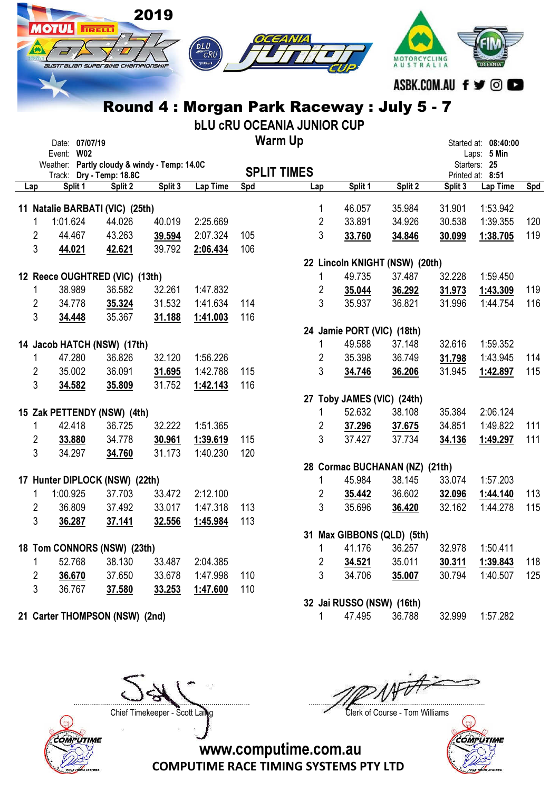| 2019                                                                         |                                        |                      |
|------------------------------------------------------------------------------|----------------------------------------|----------------------|
| $\sqrt{2}$<br><b>MOTOKETELE</b><br><b>australian super BiHe Championship</b> | OCEANIA<br>bLU<br>CRU<br>WAMAHA<br>פוז |                      |
|                                                                              |                                        | ASRK COM All f y @ C |

## Round 4 : Morgan Park Raceway : July 5 - 7

bLU cRU OCEANIA JUNIOR CUP

|                         | Date: 07/07/19<br>Event: W02 |                                              |         |                 |     | <b>Warm Up</b>     |         |                                |         | Started at: 08:40:00<br>Laps: 5 Min |     |
|-------------------------|------------------------------|----------------------------------------------|---------|-----------------|-----|--------------------|---------|--------------------------------|---------|-------------------------------------|-----|
|                         |                              | Weather: Partly cloudy & windy - Temp: 14.0C |         |                 |     |                    |         |                                |         | Starters: 25                        |     |
|                         |                              | Track: Dry - Temp: 18.8C                     |         |                 |     | <b>SPLIT TIMES</b> |         |                                |         | Printed at: 8:51                    |     |
| Lap                     | Split 1                      | Split 2                                      | Split 3 | <b>Lap Time</b> | Spd | Lap                | Split 1 | Split 2                        | Split 3 | Lap Time                            | Spd |
|                         |                              | 11 Natalie BARBATI (VIC) (25th)              |         |                 |     | $\mathbf 1$        | 46.057  | 35.984                         | 31.901  | 1:53.942                            |     |
| $\mathbf{1}$            | 1:01.624                     | 44.026                                       | 40.019  | 2:25.669        |     | $\overline{2}$     | 33.891  | 34.926                         | 30.538  | 1:39.355                            | 120 |
| $\overline{2}$          | 44.467                       | 43.263                                       | 39.594  | 2:07.324        | 105 | 3                  | 33.760  | 34.846                         | 30.099  | 1:38.705                            | 119 |
| 3                       | 44.021                       | 42.621                                       | 39.792  | 2:06.434        | 106 |                    |         |                                |         |                                     |     |
|                         |                              |                                              |         |                 |     |                    |         | 22 Lincoln KNIGHT (NSW) (20th) |         |                                     |     |
|                         |                              | 12 Reece OUGHTRED (VIC) (13th)               |         |                 |     | 1                  | 49.735  | 37.487                         | 32.228  | 1:59.450                            |     |
| 1                       | 38.989                       | 36.582                                       | 32.261  | 1:47.832        |     | $\overline{2}$     | 35.044  | 36.292                         | 31.973  | 1:43.309                            | 119 |
| $\overline{2}$          | 34.778                       | 35.324                                       | 31.532  | 1:41.634        | 114 | $\mathbf{3}$       | 35.937  | 36.821                         | 31.996  | 1:44.754                            | 116 |
| $\mathbf{3}$            | 34.448                       | 35.367                                       | 31.188  | 1:41.003        | 116 |                    |         |                                |         |                                     |     |
|                         |                              |                                              |         |                 |     |                    |         | 24 Jamie PORT (VIC) (18th)     |         |                                     |     |
|                         |                              | 14 Jacob HATCH (NSW) (17th)                  |         |                 |     | $\mathbf{1}$       | 49.588  | 37.148                         | 32.616  | 1:59.352                            |     |
| 1                       | 47.280                       | 36.826                                       | 32.120  | 1:56.226        |     | $\overline{2}$     | 35.398  | 36.749                         | 31.798  | 1:43.945                            | 114 |
| $\overline{2}$          | 35.002                       | 36.091                                       | 31.695  | 1:42.788        | 115 | 3                  | 34.746  | 36.206                         | 31.945  | 1:42.897                            | 115 |
| 3                       | 34.582                       | 35.809                                       | 31.752  | 1:42.143        | 116 |                    |         |                                |         |                                     |     |
|                         |                              |                                              |         |                 |     |                    |         | 27 Toby JAMES (VIC) (24th)     |         |                                     |     |
|                         |                              | 15 Zak PETTENDY (NSW) (4th)                  |         |                 |     | $\mathbf{1}$       | 52.632  | 38.108                         | 35.384  | 2:06.124                            |     |
| $\mathbf{1}$            | 42.418                       | 36.725                                       | 32.222  | 1:51.365        |     | $\overline{2}$     | 37.296  | 37.675                         | 34.851  | 1:49.822                            | 111 |
| $\overline{2}$          | 33.880                       | 34.778                                       | 30.961  | 1:39.619        | 115 | 3                  | 37.427  | 37.734                         | 34.136  | 1:49.297                            | 111 |
| 3                       | 34.297                       | 34.760                                       | 31.173  | 1:40.230        | 120 |                    |         |                                |         |                                     |     |
|                         |                              |                                              |         |                 |     |                    |         | 28 Cormac BUCHANAN (NZ) (21th) |         |                                     |     |
|                         |                              | 17 Hunter DIPLOCK (NSW) (22th)               |         |                 |     | 1                  | 45.984  | 38.145                         | 33.074  | 1:57.203                            |     |
| 1                       | 1:00.925                     | 37.703                                       | 33.472  | 2:12.100        |     | $\overline{2}$     | 35.442  | 36.602                         | 32.096  | 1:44.140                            | 113 |
| $\overline{2}$          | 36.809                       | 37.492                                       | 33.017  | 1:47.318        | 113 | $\mathbf{3}$       | 35.696  | 36.420                         | 32.162  | 1:44.278                            | 115 |
| 3                       | 36.287                       | 37.141                                       | 32.556  | 1:45.984        | 113 |                    |         |                                |         |                                     |     |
|                         |                              |                                              |         |                 |     |                    |         | 31 Max GIBBONS (QLD) (5th)     |         |                                     |     |
|                         |                              | 18 Tom CONNORS (NSW) (23th)                  |         |                 |     | $\mathbf{1}$       | 41.176  | 36.257                         | 32.978  | 1:50.411                            |     |
| 1                       | 52.768                       | 38.130                                       | 33.487  | 2:04.385        |     | $\overline{2}$     | 34.521  | 35.011                         | 30.311  | 1:39.843                            | 118 |
| $\overline{\mathbf{c}}$ | 36.670                       | 37.650                                       | 33.678  | 1:47.998        | 110 | $\overline{3}$     | 34.706  | 35.007                         | 30.794  | 1:40.507                            | 125 |
| 3                       | 36.767                       | 37.580                                       | 33.253  | 1:47.600        | 110 |                    |         |                                |         |                                     |     |
|                         |                              |                                              |         |                 |     |                    |         | 32 Jai RUSSO (NSW) (16th)      |         |                                     |     |
|                         |                              | 21 Carter THOMPSON (NSW) (2nd)               |         |                 |     | 1                  | 47.495  | 36.788                         | 32.999  | 1:57.282                            |     |



....................................................................................... .......................................................................................

Chief Timekeeper - Scott Laing Clerk of Course - Tom Williams



www.computime.com.au

COMPUTIME RACE TIMING SYSTEMS PTY LTD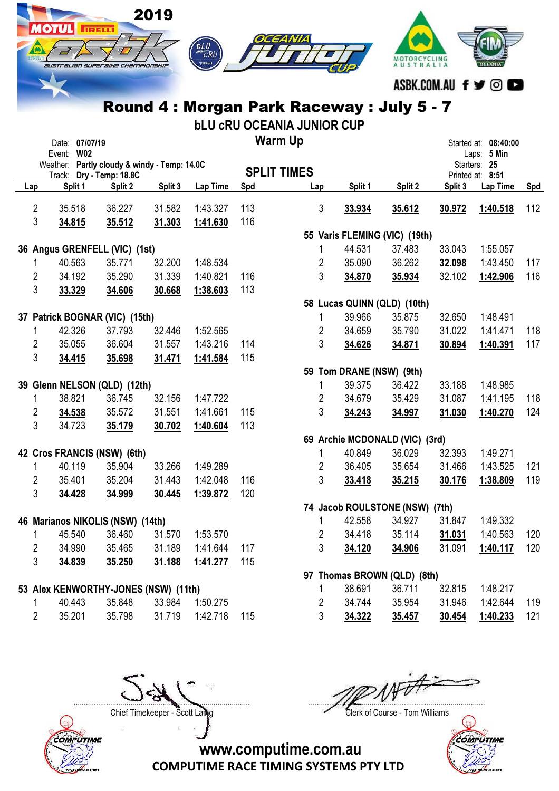|                     | <b>AOTUL</b> | <b>IRELLI</b>                  | 2019                                         |         | bLU                                        |            | EANIZ                             |                |                                          |                           |                     |                                  |     |
|---------------------|--------------|--------------------------------|----------------------------------------------|---------|--------------------------------------------|------------|-----------------------------------|----------------|------------------------------------------|---------------------------|---------------------|----------------------------------|-----|
|                     |              |                                | australian superaixe championskie            |         | CRU<br>∌үдманд                             |            |                                   |                |                                          | MOTORCYCLING<br>AUSTRALIA |                     |                                  |     |
|                     |              |                                |                                              |         |                                            |            |                                   |                |                                          |                           | ASBK.COM.AU f ♥ ◎ I |                                  |     |
|                     |              |                                |                                              |         | Round 4 : Morgan Park Raceway : July 5 - 7 |            |                                   |                |                                          |                           |                     |                                  |     |
|                     |              |                                |                                              |         |                                            |            | <b>bLU CRU OCEANIA JUNIOR CUP</b> |                |                                          |                           |                     |                                  |     |
|                     |              | Date: 07/07/19                 |                                              |         |                                            |            | <b>Warm Up</b>                    |                |                                          |                           |                     | Started at: 08:40:00             |     |
|                     | Event: W02   |                                |                                              |         |                                            |            |                                   |                |                                          |                           |                     | Laps: 5 Min                      |     |
|                     |              | Track: Dry - Temp: 18.8C       | Weather: Partly cloudy & windy - Temp: 14.0C |         |                                            |            | <b>SPLIT TIMES</b>                |                |                                          |                           |                     | Starters: 25<br>Printed at: 8:51 |     |
| Lap                 | Split 1      |                                | Split 2                                      | Split 3 | Lap Time                                   | Spd        |                                   | Lap            | Split 1                                  | Split 2                   | Split 3             | Lap Time                         | Spd |
|                     |              |                                |                                              |         |                                            |            |                                   |                |                                          |                           |                     |                                  |     |
| $\overline{2}$<br>3 | 35.518       | 36.227                         | 31.582                                       |         | 1:43.327<br>1:41.630                       | 113<br>116 |                                   | $\mathbf{3}$   | 33.934                                   | 35.612                    | 30.972              | 1:40.518                         | 112 |
|                     | 34.815       | 35.512                         | 31.303                                       |         |                                            |            |                                   |                | 55 Varis FLEMING (VIC) (19th)            |                           |                     |                                  |     |
|                     |              | 36 Angus GRENFELL (VIC) (1st)  |                                              |         |                                            |            |                                   | 1              | 44.531                                   | 37.483                    | 33.043              | 1:55.057                         |     |
| 1                   | 40.563       | 35.771                         | 32.200                                       |         | 1:48.534                                   |            |                                   | 2              | 35.090                                   | 36.262                    | 32.098              | 1:43.450                         | 117 |
| 2                   | 34.192       | 35.290                         | 31.339                                       |         | 1:40.821                                   | 116        |                                   | 3              | 34.870                                   | 35.934                    | 32.102              | 1:42.906                         | 116 |
| 3                   | 33.329       | 34.606                         | 30.668                                       |         | 1:38.603                                   | 113        |                                   |                |                                          |                           |                     |                                  |     |
|                     |              |                                |                                              |         |                                            |            |                                   |                | 58 Lucas QUINN (QLD) (10th)              |                           |                     |                                  |     |
|                     |              | 37 Patrick BOGNAR (VIC) (15th) |                                              |         |                                            |            |                                   | 1              | 39.966                                   | 35.875                    | 32.650              | 1:48.491                         |     |
| 1                   | 42.326       | 37.793                         | 32.446                                       |         | 1:52.565                                   |            |                                   | 2              | 34.659                                   | 35.790                    | 31.022              | 1:41.471                         | 118 |
| 2                   | 35.055       | 36.604                         | 31.557                                       |         | 1:43.216                                   | 114        |                                   | 3              | 34.626                                   | 34.871                    | 30.894              | 1:40.391                         | 117 |
| 3                   | 34.415       | 35.698                         | 31.471                                       |         | 1:41.584                                   | 115        |                                   |                |                                          |                           |                     |                                  |     |
|                     |              |                                |                                              |         |                                            |            |                                   |                | 59 Tom DRANE (NSW) (9th)                 |                           |                     |                                  |     |
|                     |              | 39 Glenn NELSON (QLD) (12th)   |                                              |         |                                            |            |                                   | 1              | 39.375                                   | 36.422                    | 33.188              | 1:48.985                         |     |
| 1                   | 38.821       | 36.745                         | 32.156                                       |         | 1:47.722                                   |            |                                   | $\overline{2}$ | 34.679                                   | 35.429                    | 31.087              | 1:41.195                         | 118 |
| $\overline{2}$      | 34.538       | 35.572                         | 31.551                                       |         | 1:41.661                                   | 115        |                                   | 3              | 34.243                                   | 34.997                    | 31.030              | 1:40.270                         | 124 |
| 3                   | 34.723       | 35.179                         | 30.702                                       |         | 1:40.604                                   | 113        |                                   |                |                                          |                           |                     |                                  |     |
|                     |              | 42 Cros FRANCIS (NSW) (6th)    |                                              |         |                                            |            |                                   | 1              | 69 Archie MCDONALD (VIC) (3rd)<br>40.849 | 36.029                    | 32.393              | 1:49.271                         |     |
| 1                   | 40.119       | 35.904                         | 33.266                                       |         | 1:49.289                                   |            |                                   | 2              | 36.405                                   | 35.654                    | 31.466              | 1:43.525                         | 121 |
| $\overline{2}$      | 35.401       | 35.204                         | 31.443                                       |         | 1:42.048                                   | 116        |                                   | 3              | 33.418                                   | 35.215                    | 30.176              | 1:38.809                         | 119 |
| 3                   | 34.428       | 34.999                         | 30.445                                       |         | 1:39.872                                   | 120        |                                   |                |                                          |                           |                     |                                  |     |
|                     |              |                                |                                              |         |                                            |            |                                   |                | 74 Jacob ROULSTONE (NSW) (7th)           |                           |                     |                                  |     |
|                     |              |                                | 46 Marianos NIKOLIS (NSW) (14th)             |         |                                            |            |                                   | 1              | 42.558                                   | 34.927                    | 31.847              | 1:49.332                         |     |
| 1                   | 45.540       | 36.460                         | 31.570                                       |         | 1:53.570                                   |            |                                   | $\overline{2}$ | 34.418                                   | 35.114                    | 31.031              | 1:40.563                         | 120 |
| $\overline{2}$      | 34.990       | 35.465                         | 31.189                                       |         | 1:41.644                                   | 117        |                                   | 3              | 34.120                                   | 34.906                    | 31.091              | 1:40.117                         | 120 |
| 3                   | 34.839       | 35.250                         | 31.188                                       |         | 1:41.277                                   | 115        |                                   |                |                                          |                           |                     |                                  |     |
|                     |              |                                |                                              |         |                                            |            |                                   |                | 97 Thomas BROWN (QLD) (8th)              |                           |                     |                                  |     |
|                     |              |                                | 53 Alex KENWORTHY-JONES (NSW) (11th)         |         |                                            |            |                                   | 1              | 38.691                                   | 36.711                    | 32.815              | 1:48.217                         |     |
| 1                   | 40.443       | 35.848                         | 33.984                                       |         | 1:50.275                                   |            |                                   | 2              | 34.744                                   | 35.954                    | 31.946              | 1:42.644                         | 119 |

COMPUTIME

....................................................................................... ....................................................................................... Chief Timekeeper - Scott Laing Clerk of Course - Tom Williams



www.computime.com.au

COMPUTIME RACE TIMING SYSTEMS PTY LTD

2 35.201 35.798 31.719 1:42.718 115 3 34.322 35.457 30.454 1:40.233 121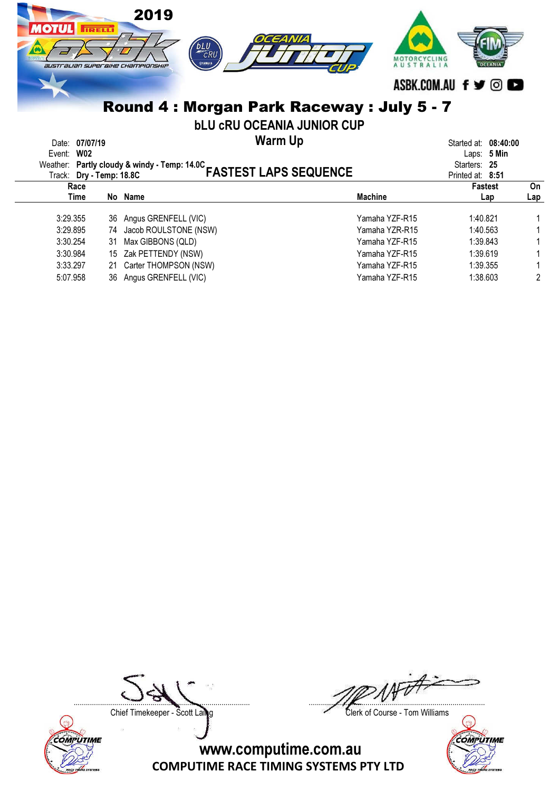| 2019<br><b>TRELL</b><br>115588<br>australian superaixe championskip | OCEANIA<br><b>DLU</b><br>ФУАМАНА         | MOTORCYCLING<br><b>AUSTRALI</b>           |
|---------------------------------------------------------------------|------------------------------------------|-------------------------------------------|
|                                                                     |                                          | ASBK.COM.AU f y ©                         |
|                                                                     | Round 4: Morgan Park Raceway: July 5 - 7 |                                           |
|                                                                     | <b>bLU CRU OCEANIA JUNIOR CUP</b>        |                                           |
| Date: 07/07/19<br>Event: W02                                        | <b>Warm Up</b>                           | 08:40:00<br>Started at:<br>5 Min<br>Laps: |

| Weather: Partly cloudy & windy - Temp: 14.0C<br>Track: Dry - Temp: 18.8C | Starters: 25<br>Printed at: 8:51 |                              |                |                |     |
|--------------------------------------------------------------------------|----------------------------------|------------------------------|----------------|----------------|-----|
|                                                                          | Race                             | <b>FASTEST LAPS SEQUENCE</b> |                | <b>Fastest</b> | On  |
|                                                                          | Time                             | No Name                      | <b>Machine</b> | Lap            | Lap |
| 3:29.355                                                                 |                                  | 36 Angus GRENFELL (VIC)      | Yamaha YZF-R15 | 1:40.821       |     |
| 3:29.895                                                                 | 74                               | Jacob ROULSTONE (NSW)        | Yamaha YZR-R15 | 1:40.563       |     |
| 3:30.254                                                                 | 31                               | Max GIBBONS (QLD)            | Yamaha YZF-R15 | 1:39.843       |     |
| 3:30.984                                                                 |                                  | 15 Zak PETTENDY (NSW)        | Yamaha YZF-R15 | 1:39.619       |     |
| 3:33.297                                                                 |                                  | 21 Carter THOMPSON (NSW)     | Yamaha YZF-R15 | 1:39.355       |     |
| 5:07.958                                                                 |                                  | 36 Angus GRENFELL (VIC)      | Yamaha YZF-R15 | 1:38.603       | 2   |



....................................................................................... .......................................................................................

Chief Timekeeper - Scott Laing Clerk of Course - Tom Williams

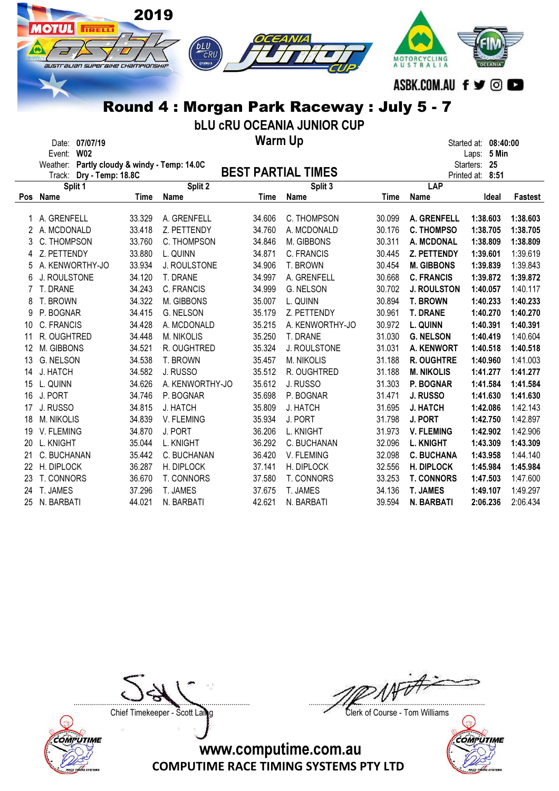|                | <b>AOTUL</b><br><b>IRELLI</b><br>australian superaixe championskip | 2019   | <b>bLU</b><br>CRU<br>ФУАМАНА | OCEANIA                   | Round 4: Morgan Park Raceway: July 5 - 7<br><b>bLU CRU OCEANIA JUNIOR CUP</b> |        | MOTORCYCLING<br>AUSTRALIA<br>ASBK.COM.AU f y © O |                             |                |
|----------------|--------------------------------------------------------------------|--------|------------------------------|---------------------------|-------------------------------------------------------------------------------|--------|--------------------------------------------------|-----------------------------|----------------|
|                | Date: 07/07/19                                                     |        |                              | <b>Warm Up</b>            |                                                                               |        |                                                  | Started at: 08:40:00        |                |
|                | Event: W02<br>Weather: Partly cloudy & windy - Temp: 14.0C         |        |                              |                           |                                                                               |        |                                                  | Laps: 5 Min<br>Starters: 25 |                |
|                | Track: Dry - Temp: 18.8C                                           |        |                              | <b>BEST PARTIAL TIMES</b> |                                                                               |        |                                                  | Printed at: 8:51            |                |
|                | Split 1                                                            |        | Split 2                      |                           | Split 3                                                                       |        | LAP                                              |                             |                |
|                | Pos Name                                                           | Time   | Name                         | Time                      | Name                                                                          | Time   | <b>Name</b>                                      | Ideal                       | <b>Fastest</b> |
|                | 1 A. GRENFELL                                                      | 33.329 | A. GRENFELL                  | 34.606                    | C. THOMPSON                                                                   | 30.099 | A. GRENFELL                                      | 1:38.603                    | 1:38.603       |
| 2              | A. MCDONALD                                                        | 33.418 | Z. PETTENDY                  | 34.760                    | A. MCDONALD                                                                   | 30.176 | <b>C. THOMPSO</b>                                | 1:38.705                    | 1:38.705       |
| 3              | C. THOMPSON                                                        | 33.760 | C. THOMPSON                  | 34.846                    | M. GIBBONS                                                                    | 30.311 | A. MCDONAL                                       | 1:38.809                    | 1:38.809       |
| 4              | Z. PETTENDY                                                        | 33.880 | L. QUINN                     | 34.871                    | C. FRANCIS                                                                    | 30.445 | Z. PETTENDY                                      | 1:39.601                    | 1:39.619       |
| 5              | A. KENWORTHY-JO                                                    | 33.934 | J. ROULSTONE                 | 34.906                    | T. BROWN                                                                      | 30.454 | <b>M. GIBBONS</b>                                | 1:39.839                    | 1:39.843       |
| 6              | J. ROULSTONE                                                       | 34.120 | T. DRANE                     | 34.997                    | A. GRENFELL                                                                   | 30.668 | <b>C. FRANCIS</b>                                | 1:39.872                    | 1:39.872       |
| $\overline{7}$ | T. DRANE                                                           | 34.243 | C. FRANCIS                   | 34.999                    | G. NELSON                                                                     | 30.702 | <b>J. ROULSTON</b>                               | 1:40.057                    | 1:40.117       |
| 8              | T. BROWN                                                           | 34.322 | M. GIBBONS                   | 35.007                    | L. QUINN                                                                      | 30.894 | <b>T. BROWN</b>                                  | 1:40.233                    | 1:40.233       |
| 9              | P. BOGNAR                                                          | 34.415 | G. NELSON                    | 35.179                    | Z. PETTENDY                                                                   | 30.961 | <b>T. DRANE</b>                                  | 1:40.270                    | 1:40.270       |
| 10             | C. FRANCIS                                                         | 34.428 | A. MCDONALD                  | 35.215                    | A. KENWORTHY-JO                                                               | 30.972 | L. QUINN                                         | 1:40.391                    | 1:40.391       |
| 11             | R. OUGHTRED                                                        | 34.448 | M. NIKOLIS                   | 35.250                    | T. DRANE                                                                      | 31.030 | <b>G. NELSON</b>                                 | 1:40.419                    | 1:40.604       |
| 12             | M. GIBBONS                                                         | 34.521 | R. OUGHTRED                  | 35.324                    | J. ROULSTONE                                                                  | 31.031 | <b>A. KENWORT</b>                                | 1:40.518                    | 1:40.518       |
| 13             | <b>G. NELSON</b>                                                   | 34.538 | T. BROWN                     | 35.457                    | M. NIKOLIS                                                                    | 31.188 | <b>R. OUGHTRE</b>                                | 1:40.960                    | 1:41.003       |
| 14             | J. HATCH                                                           | 34.582 | J. RUSSO                     | 35.512                    | R. OUGHTRED                                                                   | 31.188 | <b>M. NIKOLIS</b>                                | 1:41.277                    | 1:41.277       |
| 15             | L. QUINN                                                           | 34.626 | A. KENWORTHY-JO              | 35.612                    | J. RUSSO                                                                      | 31.303 | P. BOGNAR                                        | 1:41.584                    | 1:41.584       |
| 16             | J. PORT                                                            | 34.746 | P. BOGNAR                    | 35.698                    | P. BOGNAR                                                                     | 31.471 | J. RUSSO                                         | 1:41.630                    | 1:41.630       |
| 17             | J. RUSSO                                                           | 34.815 | J. HATCH                     | 35.809                    | J. HATCH                                                                      | 31.695 | J. HATCH                                         | 1:42.086                    | 1:42.143       |
| 18             | M. NIKOLIS                                                         | 34.839 | V. FLEMING                   | 35.934                    | J. PORT                                                                       | 31.798 | J. PORT                                          | 1:42.750                    | 1:42.897       |
| 19             | V. FLEMING                                                         | 34.870 | J. PORT                      | 36.206                    | L. KNIGHT                                                                     | 31.973 | <b>V. FLEMING</b>                                | 1:42.902                    | 1:42.906       |
| 20             | L. KNIGHT                                                          | 35.044 | L. KNIGHT                    | 36.292                    | C. BUCHANAN                                                                   | 32.096 | <b>L. KNIGHT</b>                                 | 1:43.309                    | 1:43.309       |
| 21             | C. BUCHANAN                                                        | 35.442 | C. BUCHANAN                  | 36.420                    | V. FLEMING                                                                    | 32.098 | <b>C. BUCHANA</b>                                | 1:43.958                    | 1:44.140       |
| 22             | H. DIPLOCK                                                         | 36.287 | H. DIPLOCK                   | 37.141                    | H. DIPLOCK                                                                    | 32.556 | <b>H. DIPLOCK</b>                                | 1:45.984                    | 1:45.984       |
| 23             | T. CONNORS                                                         | 36.670 | T. CONNORS                   | 37.580                    | T. CONNORS                                                                    | 33.253 | <b>T. CONNORS</b>                                | 1:47.503                    | 1:47.600       |

24 T. JAMES 37.296 T. JAMES 37.675 T. JAMES 34.136 T. JAMES 1:49.107 1:49.297 25 N. BARBATI 44.021 N. BARBATI 42.621 N. BARBATI 39.594 N. BARBATI 2:06.236 2:06.434

COMPUTIME

....................................................................................... .......................................................................................

Chief Timekeeper - Scott Laing Clerk of Course - Tom Williams